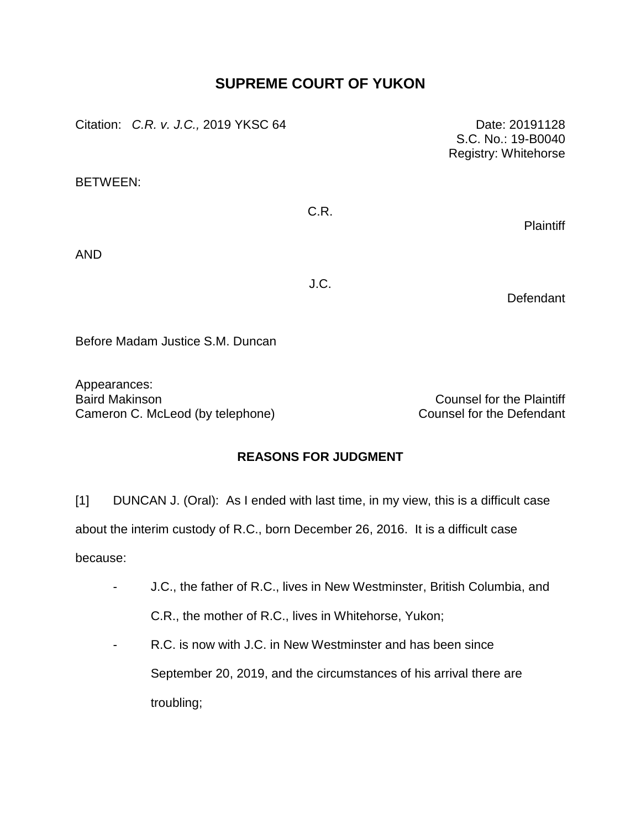# **SUPREME COURT OF YUKON**

| Citation: C.R. v. J.C., 2019 YKSC 64 |      | Date: 20191128<br>S.C. No.: 19-B0040<br>Registry: Whitehorse |
|--------------------------------------|------|--------------------------------------------------------------|
| <b>BETWEEN:</b>                      |      |                                                              |
|                                      | C.R. | <b>Plaintiff</b>                                             |
| <b>AND</b>                           |      |                                                              |
|                                      | J.C. | Defendant                                                    |
| Before Madam Justice S.M. Duncan     |      |                                                              |

Appearances: Baird Makinson Counsel for the Plaintiff Cameron C. McLeod (by telephone) Counsel for the Defendant

## **REASONS FOR JUDGMENT**

[1] DUNCAN J. (Oral): As I ended with last time, in my view, this is a difficult case about the interim custody of R.C., born December 26, 2016. It is a difficult case because:

- J.C., the father of R.C., lives in New Westminster, British Columbia, and C.R., the mother of R.C., lives in Whitehorse, Yukon;
- R.C. is now with J.C. in New Westminster and has been since September 20, 2019, and the circumstances of his arrival there are troubling;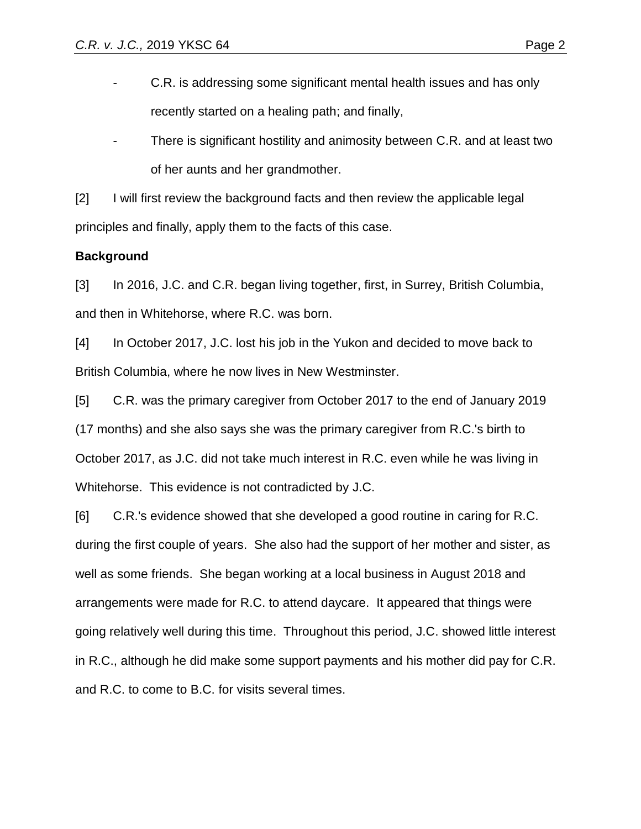- C.R. is addressing some significant mental health issues and has only recently started on a healing path; and finally,
- There is significant hostility and animosity between C.R. and at least two of her aunts and her grandmother.

[2] I will first review the background facts and then review the applicable legal principles and finally, apply them to the facts of this case.

### **Background**

[3] In 2016, J.C. and C.R. began living together, first, in Surrey, British Columbia, and then in Whitehorse, where R.C. was born.

[4] In October 2017, J.C. lost his job in the Yukon and decided to move back to British Columbia, where he now lives in New Westminster.

[5] C.R. was the primary caregiver from October 2017 to the end of January 2019 (17 months) and she also says she was the primary caregiver from R.C.'s birth to October 2017, as J.C. did not take much interest in R.C. even while he was living in Whitehorse. This evidence is not contradicted by J.C.

[6] C.R.'s evidence showed that she developed a good routine in caring for R.C. during the first couple of years. She also had the support of her mother and sister, as well as some friends. She began working at a local business in August 2018 and arrangements were made for R.C. to attend daycare. It appeared that things were going relatively well during this time. Throughout this period, J.C. showed little interest in R.C., although he did make some support payments and his mother did pay for C.R. and R.C. to come to B.C. for visits several times.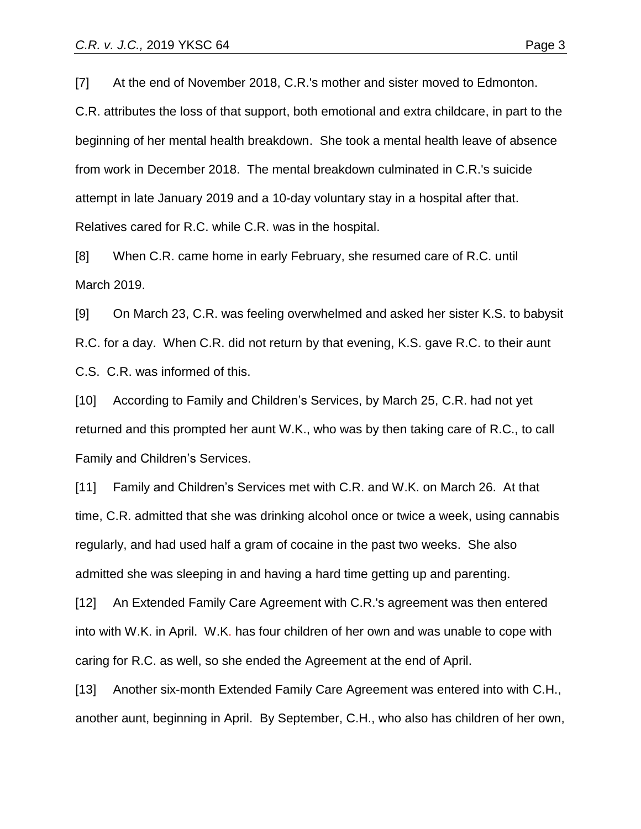[7] At the end of November 2018, C.R.'s mother and sister moved to Edmonton. C.R. attributes the loss of that support, both emotional and extra childcare, in part to the beginning of her mental health breakdown. She took a mental health leave of absence from work in December 2018. The mental breakdown culminated in C.R.'s suicide attempt in late January 2019 and a 10-day voluntary stay in a hospital after that. Relatives cared for R.C. while C.R. was in the hospital.

[8] When C.R. came home in early February, she resumed care of R.C. until March 2019.

[9] On March 23, C.R. was feeling overwhelmed and asked her sister K.S. to babysit R.C. for a day. When C.R. did not return by that evening, K.S. gave R.C. to their aunt C.S. C.R. was informed of this.

[10] According to Family and Children's Services, by March 25, C.R. had not yet returned and this prompted her aunt W.K., who was by then taking care of R.C., to call Family and Children's Services.

[11] Family and Children's Services met with C.R. and W.K. on March 26. At that time, C.R. admitted that she was drinking alcohol once or twice a week, using cannabis regularly, and had used half a gram of cocaine in the past two weeks. She also admitted she was sleeping in and having a hard time getting up and parenting.

[12] An Extended Family Care Agreement with C.R.'s agreement was then entered into with W.K. in April. W.K. has four children of her own and was unable to cope with caring for R.C. as well, so she ended the Agreement at the end of April.

[13] Another six-month Extended Family Care Agreement was entered into with C.H., another aunt, beginning in April. By September, C.H., who also has children of her own,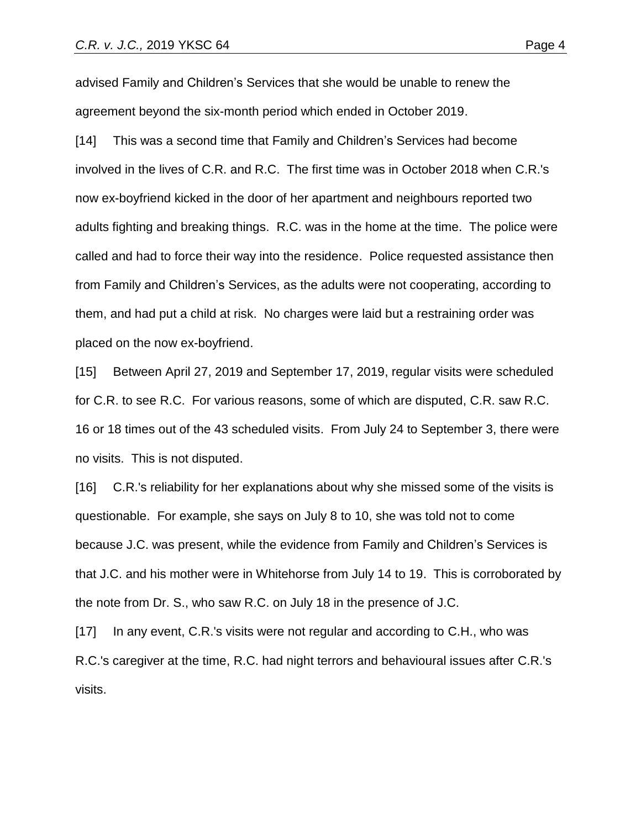advised Family and Children's Services that she would be unable to renew the agreement beyond the six-month period which ended in October 2019.

[14] This was a second time that Family and Children's Services had become involved in the lives of C.R. and R.C. The first time was in October 2018 when C.R.'s now ex-boyfriend kicked in the door of her apartment and neighbours reported two adults fighting and breaking things. R.C. was in the home at the time. The police were called and had to force their way into the residence. Police requested assistance then from Family and Children's Services, as the adults were not cooperating, according to them, and had put a child at risk. No charges were laid but a restraining order was placed on the now ex-boyfriend.

[15] Between April 27, 2019 and September 17, 2019, regular visits were scheduled for C.R. to see R.C. For various reasons, some of which are disputed, C.R. saw R.C. 16 or 18 times out of the 43 scheduled visits. From July 24 to September 3, there were no visits. This is not disputed.

[16] C.R.'s reliability for her explanations about why she missed some of the visits is questionable. For example, she says on July 8 to 10, she was told not to come because J.C. was present, while the evidence from Family and Children's Services is that J.C. and his mother were in Whitehorse from July 14 to 19. This is corroborated by the note from Dr. S., who saw R.C. on July 18 in the presence of J.C.

[17] In any event, C.R.'s visits were not regular and according to C.H., who was R.C.'s caregiver at the time, R.C. had night terrors and behavioural issues after C.R.'s visits.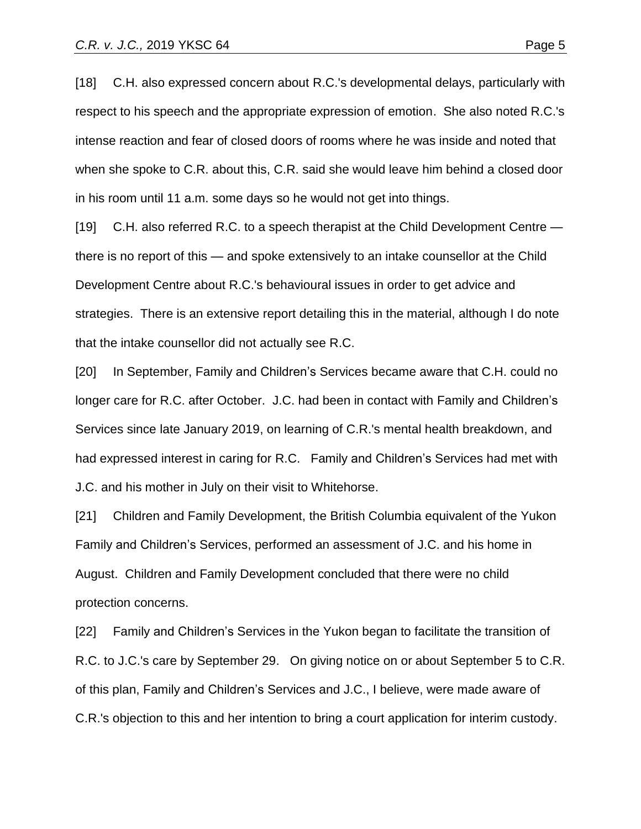[18] C.H. also expressed concern about R.C.'s developmental delays, particularly with respect to his speech and the appropriate expression of emotion. She also noted R.C.'s intense reaction and fear of closed doors of rooms where he was inside and noted that when she spoke to C.R. about this, C.R. said she would leave him behind a closed door in his room until 11 a.m. some days so he would not get into things.

[19] C.H. also referred R.C. to a speech therapist at the Child Development Centre there is no report of this — and spoke extensively to an intake counsellor at the Child Development Centre about R.C.'s behavioural issues in order to get advice and strategies. There is an extensive report detailing this in the material, although I do note that the intake counsellor did not actually see R.C.

[20] In September, Family and Children's Services became aware that C.H. could no longer care for R.C. after October. J.C. had been in contact with Family and Children's Services since late January 2019, on learning of C.R.'s mental health breakdown, and had expressed interest in caring for R.C. Family and Children's Services had met with J.C. and his mother in July on their visit to Whitehorse.

[21] Children and Family Development, the British Columbia equivalent of the Yukon Family and Children's Services, performed an assessment of J.C. and his home in August. Children and Family Development concluded that there were no child protection concerns.

[22] Family and Children's Services in the Yukon began to facilitate the transition of R.C. to J.C.'s care by September 29. On giving notice on or about September 5 to C.R. of this plan, Family and Children's Services and J.C., I believe, were made aware of C.R.'s objection to this and her intention to bring a court application for interim custody.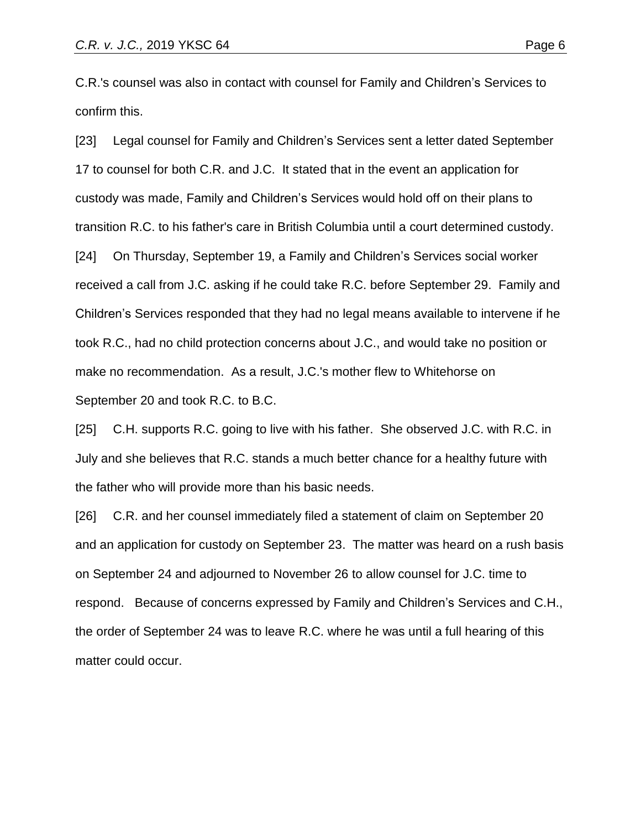C.R.'s counsel was also in contact with counsel for Family and Children's Services to confirm this.

[23] Legal counsel for Family and Children's Services sent a letter dated September 17 to counsel for both C.R. and J.C. It stated that in the event an application for custody was made, Family and Children's Services would hold off on their plans to transition R.C. to his father's care in British Columbia until a court determined custody. [24] On Thursday, September 19, a Family and Children's Services social worker received a call from J.C. asking if he could take R.C. before September 29. Family and Children's Services responded that they had no legal means available to intervene if he took R.C., had no child protection concerns about J.C., and would take no position or make no recommendation. As a result, J.C.'s mother flew to Whitehorse on September 20 and took R.C. to B.C.

[25] C.H. supports R.C. going to live with his father. She observed J.C. with R.C. in July and she believes that R.C. stands a much better chance for a healthy future with the father who will provide more than his basic needs.

[26] C.R. and her counsel immediately filed a statement of claim on September 20 and an application for custody on September 23. The matter was heard on a rush basis on September 24 and adjourned to November 26 to allow counsel for J.C. time to respond. Because of concerns expressed by Family and Children's Services and C.H., the order of September 24 was to leave R.C. where he was until a full hearing of this matter could occur.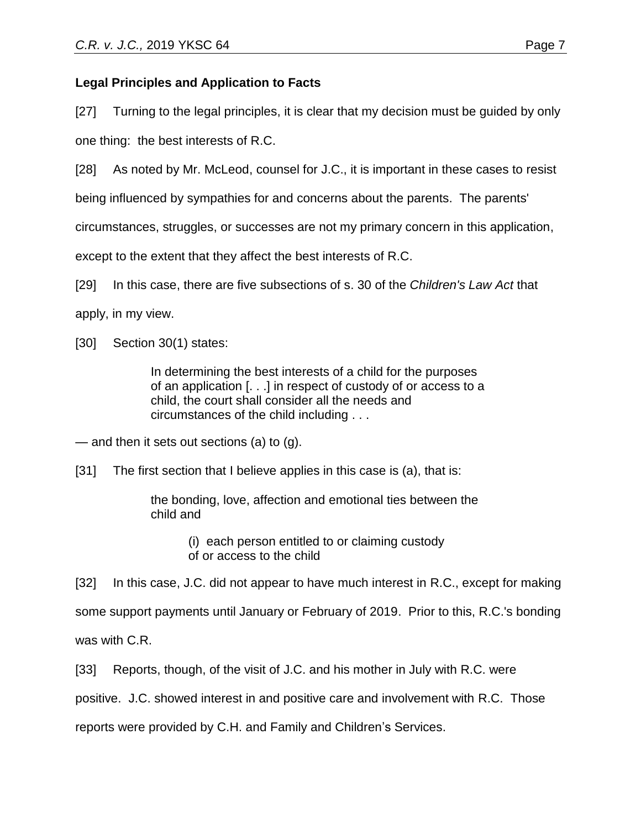## **Legal Principles and Application to Facts**

[27] Turning to the legal principles, it is clear that my decision must be guided by only one thing: the best interests of R.C.

[28] As noted by Mr. McLeod, counsel for J.C., it is important in these cases to resist

being influenced by sympathies for and concerns about the parents. The parents'

circumstances, struggles, or successes are not my primary concern in this application,

except to the extent that they affect the best interests of R.C.

[29] In this case, there are five subsections of s. 30 of the *Children's Law Act* that

apply, in my view.

[30] Section 30(1) states:

In determining the best interests of a child for the purposes of an application [. . .] in respect of custody of or access to a child, the court shall consider all the needs and circumstances of the child including . . .

— and then it sets out sections (a) to (g).

[31] The first section that I believe applies in this case is (a), that is:

the bonding, love, affection and emotional ties between the child and

> (i) each person entitled to or claiming custody of or access to the child

[32] In this case, J.C. did not appear to have much interest in R.C., except for making some support payments until January or February of 2019. Prior to this, R.C.'s bonding was with C.R.

[33] Reports, though, of the visit of J.C. and his mother in July with R.C. were

positive. J.C. showed interest in and positive care and involvement with R.C. Those

reports were provided by C.H. and Family and Children's Services.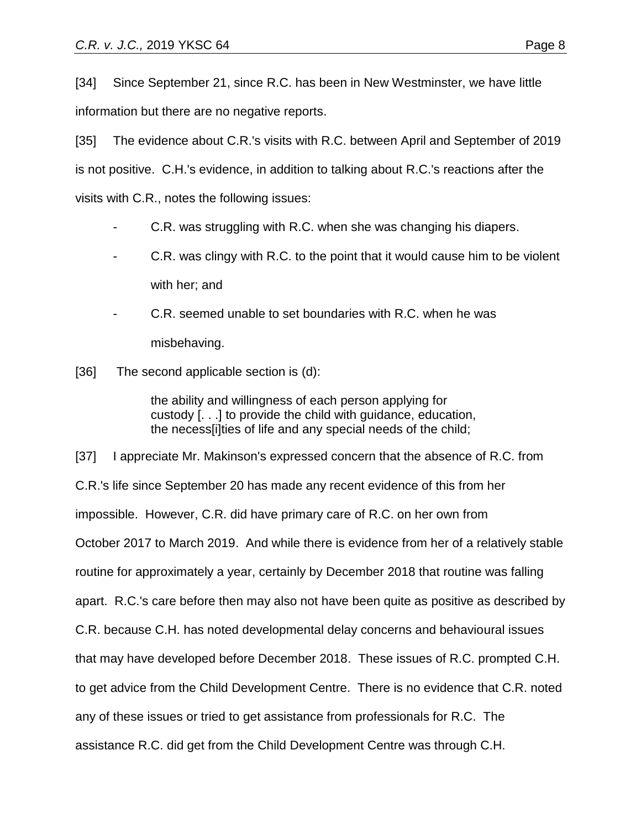[34] Since September 21, since R.C. has been in New Westminster, we have little information but there are no negative reports.

[35] The evidence about C.R.'s visits with R.C. between April and September of 2019 is not positive. C.H.'s evidence, in addition to talking about R.C.'s reactions after the visits with C.R., notes the following issues:

- C.R. was struggling with R.C. when she was changing his diapers.
- C.R. was clingy with R.C. to the point that it would cause him to be violent with her; and
- C.R. seemed unable to set boundaries with R.C. when he was misbehaving.
- [36] The second applicable section is (d):

the ability and willingness of each person applying for custody [. . .] to provide the child with guidance, education, the necess[i]ties of life and any special needs of the child;

[37] I appreciate Mr. Makinson's expressed concern that the absence of R.C. from C.R.'s life since September 20 has made any recent evidence of this from her impossible. However, C.R. did have primary care of R.C. on her own from October 2017 to March 2019. And while there is evidence from her of a relatively stable routine for approximately a year, certainly by December 2018 that routine was falling apart. R.C.'s care before then may also not have been quite as positive as described by C.R. because C.H. has noted developmental delay concerns and behavioural issues that may have developed before December 2018. These issues of R.C. prompted C.H. to get advice from the Child Development Centre. There is no evidence that C.R. noted any of these issues or tried to get assistance from professionals for R.C. The assistance R.C. did get from the Child Development Centre was through C.H.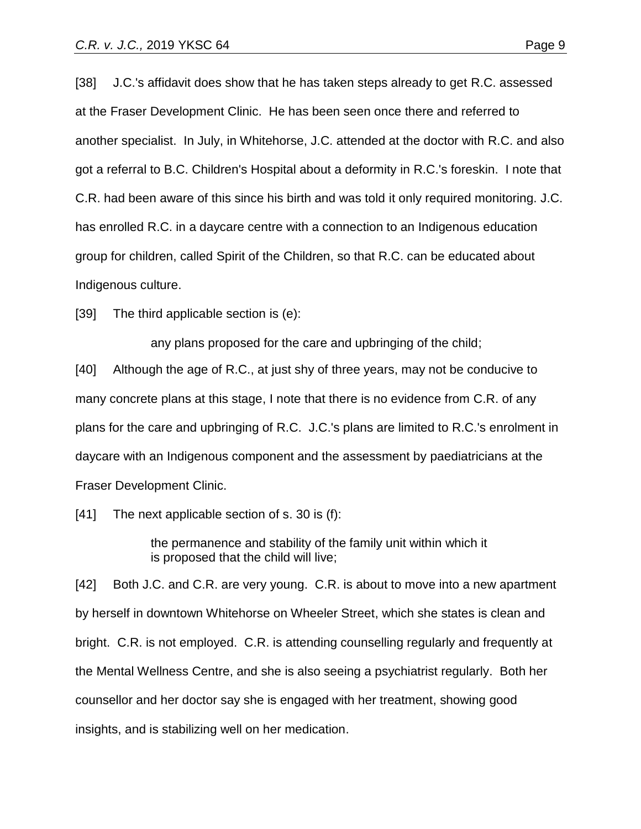[38] J.C.'s affidavit does show that he has taken steps already to get R.C. assessed at the Fraser Development Clinic. He has been seen once there and referred to another specialist. In July, in Whitehorse, J.C. attended at the doctor with R.C. and also got a referral to B.C. Children's Hospital about a deformity in R.C.'s foreskin. I note that C.R. had been aware of this since his birth and was told it only required monitoring. J.C. has enrolled R.C. in a daycare centre with a connection to an Indigenous education group for children, called Spirit of the Children, so that R.C. can be educated about Indigenous culture.

[39] The third applicable section is (e):

any plans proposed for the care and upbringing of the child;

[40] Although the age of R.C., at just shy of three years, may not be conducive to many concrete plans at this stage, I note that there is no evidence from C.R. of any plans for the care and upbringing of R.C. J.C.'s plans are limited to R.C.'s enrolment in daycare with an Indigenous component and the assessment by paediatricians at the Fraser Development Clinic.

[41] The next applicable section of s. 30 is (f):

the permanence and stability of the family unit within which it is proposed that the child will live;

[42] Both J.C. and C.R. are very young. C.R. is about to move into a new apartment by herself in downtown Whitehorse on Wheeler Street, which she states is clean and bright. C.R. is not employed. C.R. is attending counselling regularly and frequently at the Mental Wellness Centre, and she is also seeing a psychiatrist regularly. Both her counsellor and her doctor say she is engaged with her treatment, showing good insights, and is stabilizing well on her medication.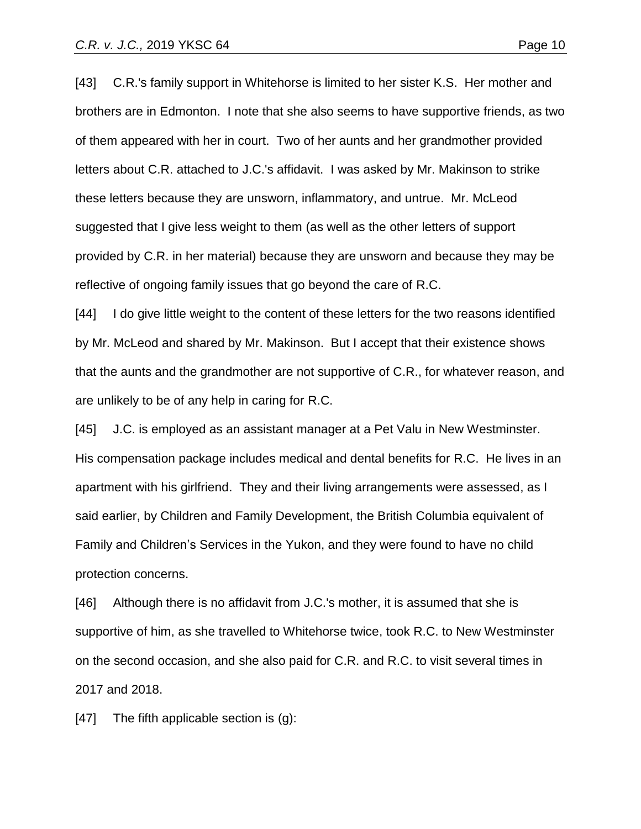[43] C.R.'s family support in Whitehorse is limited to her sister K.S. Her mother and brothers are in Edmonton. I note that she also seems to have supportive friends, as two of them appeared with her in court. Two of her aunts and her grandmother provided

letters about C.R. attached to J.C.'s affidavit. I was asked by Mr. Makinson to strike these letters because they are unsworn, inflammatory, and untrue. Mr. McLeod suggested that I give less weight to them (as well as the other letters of support provided by C.R. in her material) because they are unsworn and because they may be reflective of ongoing family issues that go beyond the care of R.C.

[44] I do give little weight to the content of these letters for the two reasons identified by Mr. McLeod and shared by Mr. Makinson. But I accept that their existence shows that the aunts and the grandmother are not supportive of C.R., for whatever reason, and are unlikely to be of any help in caring for R.C.

[45] J.C. is employed as an assistant manager at a Pet Valu in New Westminster. His compensation package includes medical and dental benefits for R.C. He lives in an apartment with his girlfriend. They and their living arrangements were assessed, as I said earlier, by Children and Family Development, the British Columbia equivalent of Family and Children's Services in the Yukon, and they were found to have no child protection concerns.

[46] Although there is no affidavit from J.C.'s mother, it is assumed that she is supportive of him, as she travelled to Whitehorse twice, took R.C. to New Westminster on the second occasion, and she also paid for C.R. and R.C. to visit several times in 2017 and 2018.

[47] The fifth applicable section is (g):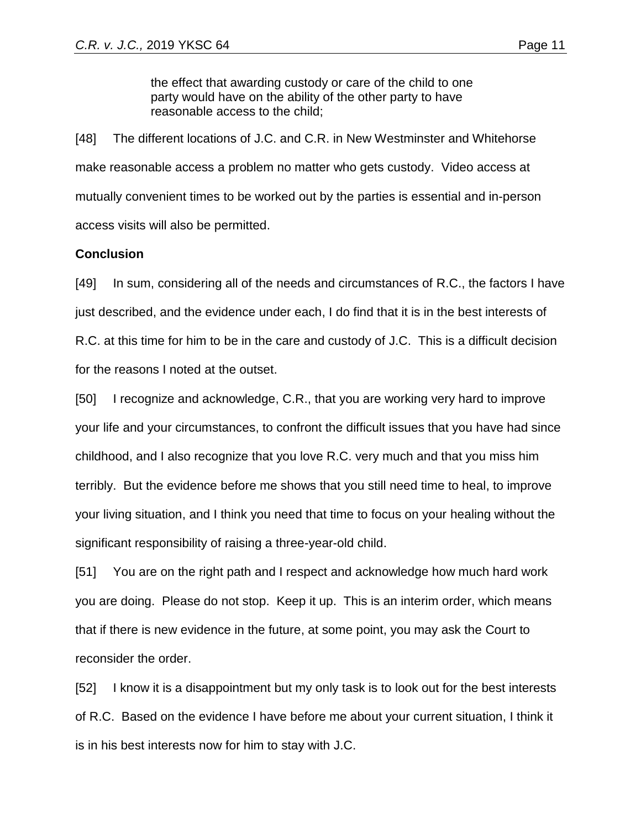the effect that awarding custody or care of the child to one party would have on the ability of the other party to have reasonable access to the child;

[48] The different locations of J.C. and C.R. in New Westminster and Whitehorse make reasonable access a problem no matter who gets custody. Video access at mutually convenient times to be worked out by the parties is essential and in-person access visits will also be permitted.

### **Conclusion**

[49] In sum, considering all of the needs and circumstances of R.C., the factors I have just described, and the evidence under each, I do find that it is in the best interests of R.C. at this time for him to be in the care and custody of J.C. This is a difficult decision for the reasons I noted at the outset.

[50] I recognize and acknowledge, C.R., that you are working very hard to improve your life and your circumstances, to confront the difficult issues that you have had since childhood, and I also recognize that you love R.C. very much and that you miss him terribly. But the evidence before me shows that you still need time to heal, to improve your living situation, and I think you need that time to focus on your healing without the significant responsibility of raising a three-year-old child.

[51] You are on the right path and I respect and acknowledge how much hard work you are doing. Please do not stop. Keep it up. This is an interim order, which means that if there is new evidence in the future, at some point, you may ask the Court to reconsider the order.

[52] I know it is a disappointment but my only task is to look out for the best interests of R.C. Based on the evidence I have before me about your current situation, I think it is in his best interests now for him to stay with J.C.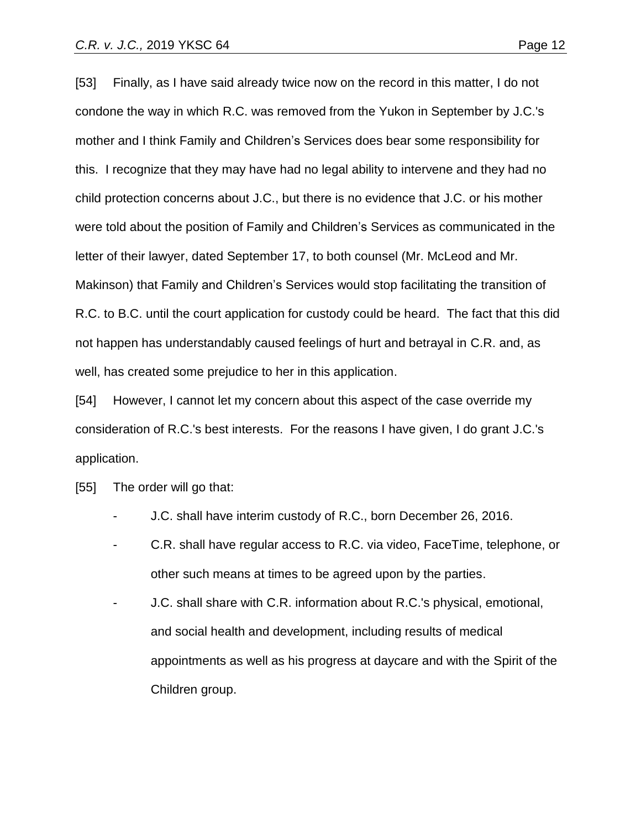[53] Finally, as I have said already twice now on the record in this matter, I do not condone the way in which R.C. was removed from the Yukon in September by J.C.'s mother and I think Family and Children's Services does bear some responsibility for this. I recognize that they may have had no legal ability to intervene and they had no child protection concerns about J.C., but there is no evidence that J.C. or his mother were told about the position of Family and Children's Services as communicated in the letter of their lawyer, dated September 17, to both counsel (Mr. McLeod and Mr. Makinson) that Family and Children's Services would stop facilitating the transition of R.C. to B.C. until the court application for custody could be heard. The fact that this did not happen has understandably caused feelings of hurt and betrayal in C.R. and, as well, has created some prejudice to her in this application.

[54] However, I cannot let my concern about this aspect of the case override my consideration of R.C.'s best interests. For the reasons I have given, I do grant J.C.'s application.

- [55] The order will go that:
	- J.C. shall have interim custody of R.C., born December 26, 2016.
	- C.R. shall have regular access to R.C. via video, FaceTime, telephone, or other such means at times to be agreed upon by the parties.
	- J.C. shall share with C.R. information about R.C.'s physical, emotional, and social health and development, including results of medical appointments as well as his progress at daycare and with the Spirit of the Children group.